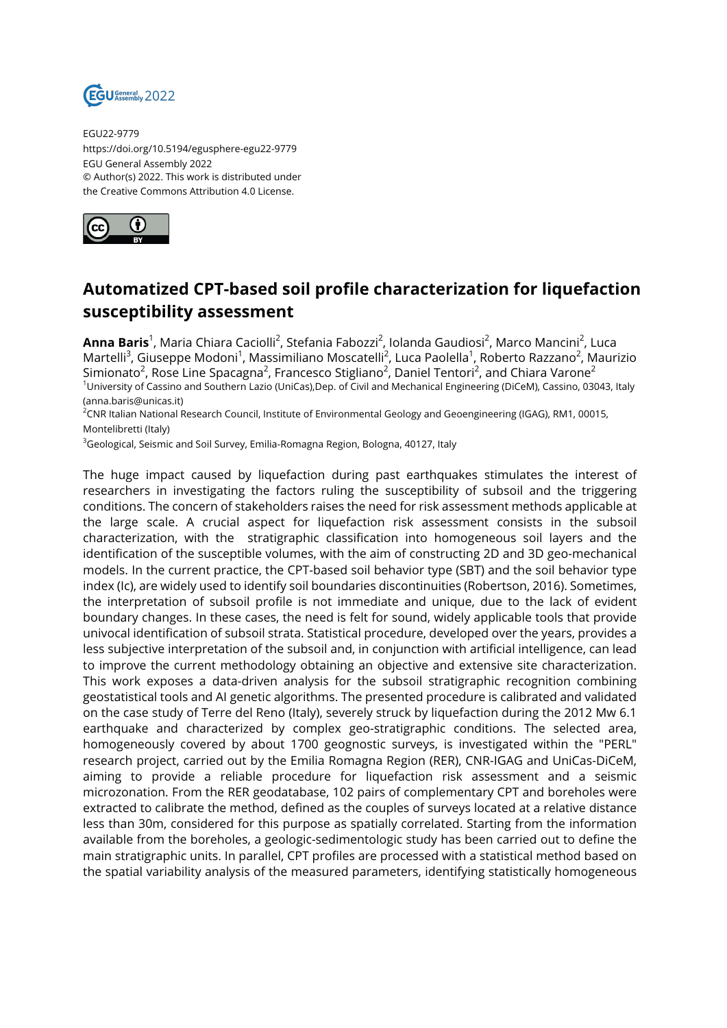

EGU22-9779 https://doi.org/10.5194/egusphere-egu22-9779 EGU General Assembly 2022 © Author(s) 2022. This work is distributed under the Creative Commons Attribution 4.0 License.



## **Automatized CPT-based soil profile characterization for liquefaction susceptibility assessment**

**Anna Baris**<sup>1</sup>, Maria Chiara Caciolli<sup>2</sup>, Stefania Fabozzi<sup>2</sup>, Iolanda Gaudiosi<sup>2</sup>, Marco Mancini<sup>2</sup>, Luca Martelli<sup>3</sup>, Giuseppe Modoni<sup>1</sup>, Massimiliano Moscatelli<sup>2</sup>, Luca Paolella<sup>1</sup>, Roberto Razzano<sup>2</sup>, Maurizio Simionato $^2$ , Rose Line Spacagna $^2$ , Francesco Stigliano $^2$ , Daniel Tentori $^2$ , and Chiara Varone $^2$ <sup>1</sup>University of Cassino and Southern Lazio (UniCas),Dep. of Civil and Mechanical Engineering (DiCeM), Cassino, 03043, Italy (anna.baris@unicas.it)

<sup>2</sup>CNR Italian National Research Council, Institute of Environmental Geology and Geoengineering (IGAG), RM1, 00015, Montelibretti (Italy)

<sup>3</sup>Geological, Seismic and Soil Survey, Emilia-Romagna Region, Bologna, 40127, Italy

The huge impact caused by liquefaction during past earthquakes stimulates the interest of researchers in investigating the factors ruling the susceptibility of subsoil and the triggering conditions. The concern of stakeholders raises the need for risk assessment methods applicable at the large scale. A crucial aspect for liquefaction risk assessment consists in the subsoil characterization, with the stratigraphic classification into homogeneous soil layers and the identification of the susceptible volumes, with the aim of constructing 2D and 3D geo-mechanical models. In the current practice, the CPT-based soil behavior type (SBT) and the soil behavior type index (Ic), are widely used to identify soil boundaries discontinuities (Robertson, 2016). Sometimes, the interpretation of subsoil profile is not immediate and unique, due to the lack of evident boundary changes. In these cases, the need is felt for sound, widely applicable tools that provide univocal identification of subsoil strata. Statistical procedure, developed over the years, provides a less subjective interpretation of the subsoil and, in conjunction with artificial intelligence, can lead to improve the current methodology obtaining an objective and extensive site characterization. This work exposes a data-driven analysis for the subsoil stratigraphic recognition combining geostatistical tools and AI genetic algorithms. The presented procedure is calibrated and validated on the case study of Terre del Reno (Italy), severely struck by liquefaction during the 2012 Mw 6.1 earthquake and characterized by complex geo-stratigraphic conditions. The selected area, homogeneously covered by about 1700 geognostic surveys, is investigated within the "PERL" research project, carried out by the Emilia Romagna Region (RER), CNR-IGAG and UniCas-DiCeM, aiming to provide a reliable procedure for liquefaction risk assessment and a seismic microzonation. From the RER geodatabase, 102 pairs of complementary CPT and boreholes were extracted to calibrate the method, defined as the couples of surveys located at a relative distance less than 30m, considered for this purpose as spatially correlated. Starting from the information available from the boreholes, a geologic-sedimentologic study has been carried out to define the main stratigraphic units. In parallel, CPT profiles are processed with a statistical method based on the spatial variability analysis of the measured parameters, identifying statistically homogeneous